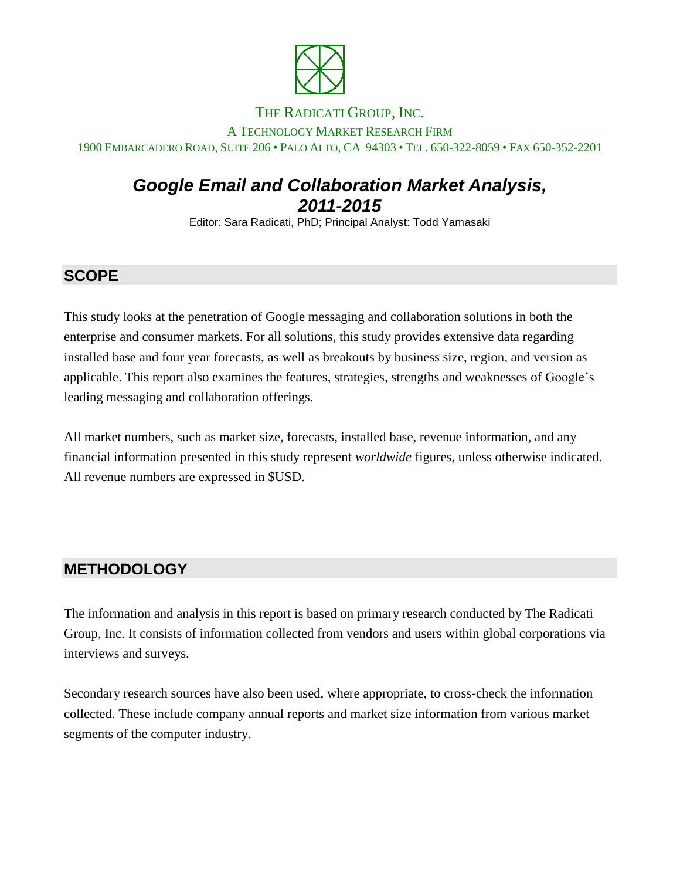

#### THE RADICATI GROUP, INC.

#### A TECHNOLOGY MARKET RESEARCH FIRM 1900 EMBARCADERO ROAD, SUITE 206 • PALO ALTO, CA 94303 • TEL. 650-322-8059 • FAX 650-352-2201

# *Google Email and Collaboration Market Analysis, 2011-2015*

Editor: Sara Radicati, PhD; Principal Analyst: Todd Yamasaki

## **SCOPE**

This study looks at the penetration of Google messaging and collaboration solutions in both the enterprise and consumer markets. For all solutions, this study provides extensive data regarding installed base and four year forecasts, as well as breakouts by business size, region, and version as applicable. This report also examines the features, strategies, strengths and weaknesses of Google's leading messaging and collaboration offerings.

All market numbers, such as market size, forecasts, installed base, revenue information, and any financial information presented in this study represent *worldwide* figures, unless otherwise indicated. All revenue numbers are expressed in \$USD.

#### **METHODOLOGY**

The information and analysis in this report is based on primary research conducted by The Radicati Group, Inc. It consists of information collected from vendors and users within global corporations via interviews and surveys.

Secondary research sources have also been used, where appropriate, to cross-check the information collected. These include company annual reports and market size information from various market segments of the computer industry.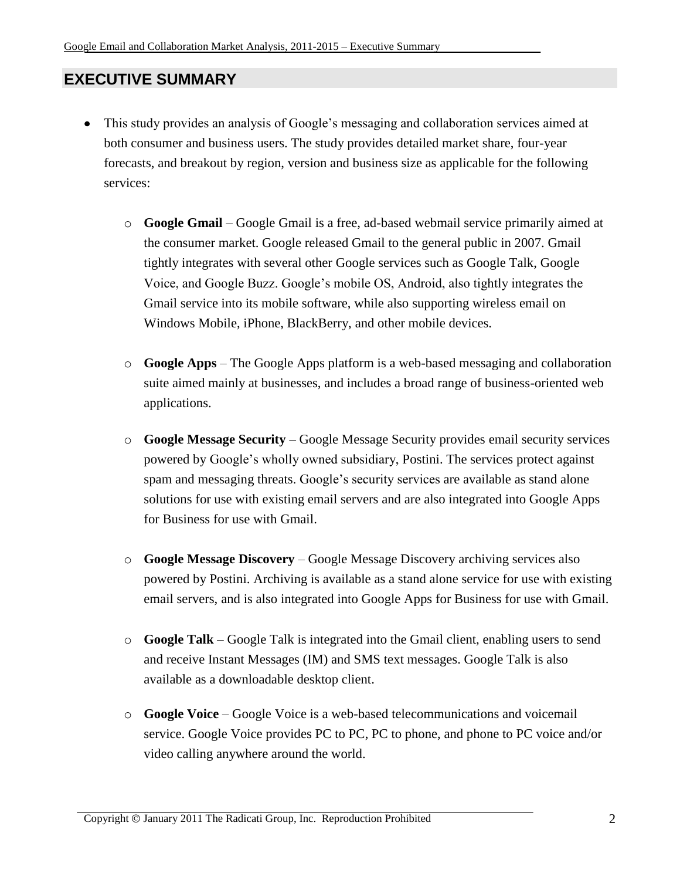## **EXECUTIVE SUMMARY**

- This study provides an analysis of Google's messaging and collaboration services aimed at  $\bullet$ both consumer and business users. The study provides detailed market share, four-year forecasts, and breakout by region, version and business size as applicable for the following services:
	- o **Google Gmail** Google Gmail is a free, ad-based webmail service primarily aimed at the consumer market. Google released Gmail to the general public in 2007. Gmail tightly integrates with several other Google services such as Google Talk, Google Voice, and Google Buzz. Google's mobile OS, Android, also tightly integrates the Gmail service into its mobile software, while also supporting wireless email on Windows Mobile, iPhone, BlackBerry, and other mobile devices.
	- o **Google Apps** The Google Apps platform is a web-based messaging and collaboration suite aimed mainly at businesses, and includes a broad range of business-oriented web applications.
	- o **Google Message Security** Google Message Security provides email security services powered by Google's wholly owned subsidiary, Postini. The services protect against spam and messaging threats. Google's security services are available as stand alone solutions for use with existing email servers and are also integrated into Google Apps for Business for use with Gmail.
	- o **Google Message Discovery** Google Message Discovery archiving services also powered by Postini. Archiving is available as a stand alone service for use with existing email servers, and is also integrated into Google Apps for Business for use with Gmail.
	- o **Google Talk** Google Talk is integrated into the Gmail client, enabling users to send and receive Instant Messages (IM) and SMS text messages. Google Talk is also available as a downloadable desktop client.
	- o **Google Voice** Google Voice is a web-based telecommunications and voicemail service. Google Voice provides PC to PC, PC to phone, and phone to PC voice and/or video calling anywhere around the world.